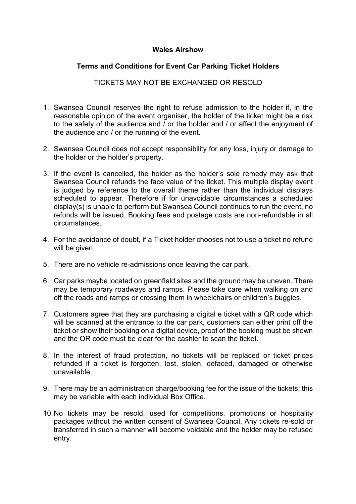# **Wales Airshow**

# **Terms and Conditions for Event Car Parking Ticket Holders**

## TICKETS MAY NOT BE EXCHANGED OR RESOLD

- 1. Swansea Council reserves the right to refuse admission to the holder if, in the reasonable opinion of the event organiser, the holder of the ticket might be a risk to the safety of the audience and / or the holder and / or affect the enjoyment of the audience and / or the running of the event.
- 2. Swansea Council does not accept responsibility for any loss, injury or damage to the holder or the holder's property.
- 3. If the event is cancelled, the holder as the holder's sole remedy may ask that Swansea Council refunds the face value of the ticket. This multiple display event is judged by reference to the overall theme rather than the individual displays scheduled to appear. Therefore if for unavoidable circumstances a scheduled display(s) is unable to perform but Swansea Council continues to run the event, no refunds will be issued. Booking fees and postage costs are non-refundable in all circumstances.
- 4. For the avoidance of doubt, if a Ticket holder chooses not to use a ticket no refund will be given.
- 5. There are no vehicle re-admissions once leaving the car park.
- 6. Car parks maybe located on greenfield sites and the ground may be uneven. There may be temporary roadways and ramps. Please take care when walking on and off the roads and ramps or crossing them in wheelchairs or children's buggies.
- 7. Customers agree that they are purchasing a digital e ticket with a QR code which will be scanned at the entrance to the car park, customers can either print off the ticket or show their booking on a digital device, proof of the booking must be shown and the QR code must be clear for the cashier to scan the ticket.
- 8. In the interest of fraud protection, no tickets will be replaced or ticket prices refunded if a ticket is forgotten, lost, stolen, defaced, damaged or otherwise unavailable.
- 9. There may be an administration charge/booking fee for the issue of the tickets; this may be variable with each individual Box Office.
- 10.No tickets may be resold, used for competitions, promotions or hospitality packages without the written consent of Swansea Council. Any tickets re-sold or transferred in such a manner will become voidable and the holder may be refused entry.